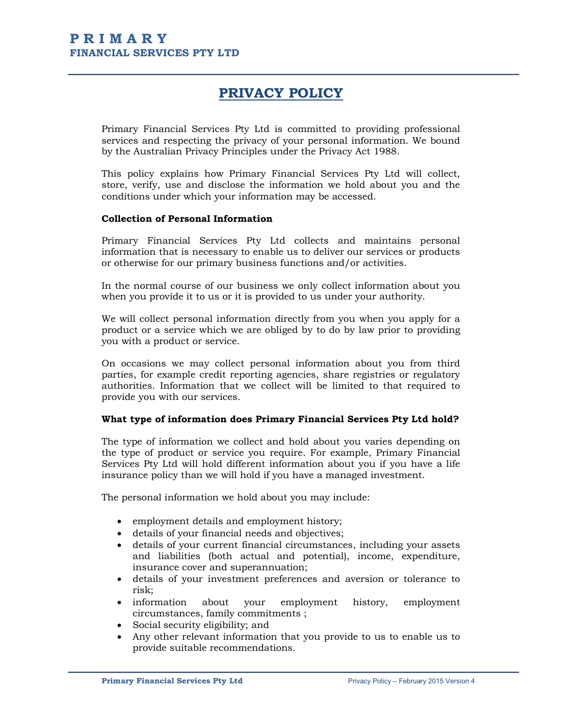# PRIVACY POLICY

Primary Financial Services Pty Ltd is committed to providing professional services and respecting the privacy of your personal information. We bound by the Australian Privacy Principles under the Privacy Act 1988.

This policy explains how Primary Financial Services Pty Ltd will collect, store, verify, use and disclose the information we hold about you and the conditions under which your information may be accessed.

#### Collection of Personal Information

Primary Financial Services Pty Ltd collects and maintains personal information that is necessary to enable us to deliver our services or products or otherwise for our primary business functions and/or activities.

In the normal course of our business we only collect information about you when you provide it to us or it is provided to us under your authority.

We will collect personal information directly from you when you apply for a product or a service which we are obliged by to do by law prior to providing you with a product or service.

On occasions we may collect personal information about you from third parties, for example credit reporting agencies, share registries or regulatory authorities. Information that we collect will be limited to that required to provide you with our services.

# What type of information does Primary Financial Services Pty Ltd hold?

The type of information we collect and hold about you varies depending on the type of product or service you require. For example, Primary Financial Services Pty Ltd will hold different information about you if you have a life insurance policy than we will hold if you have a managed investment.

The personal information we hold about you may include:

- employment details and employment history;
- details of your financial needs and objectives;
- details of your current financial circumstances, including your assets and liabilities (both actual and potential), income, expenditure, insurance cover and superannuation;
- details of your investment preferences and aversion or tolerance to risk;
- information about your employment history, employment circumstances, family commitments ;
- Social security eligibility; and
- Any other relevant information that you provide to us to enable us to provide suitable recommendations.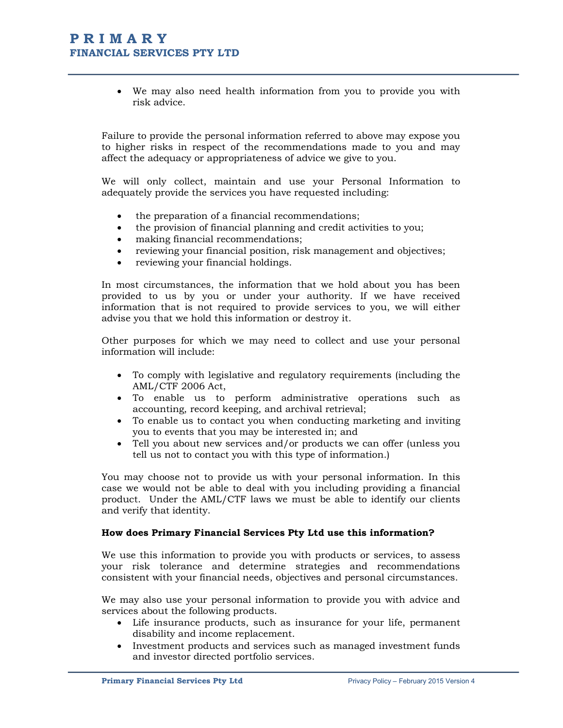# P R I M A R Y FINANCIAL SERVICES PTY LTD

 We may also need health information from you to provide you with risk advice.

Failure to provide the personal information referred to above may expose you to higher risks in respect of the recommendations made to you and may affect the adequacy or appropriateness of advice we give to you.

We will only collect, maintain and use your Personal Information to adequately provide the services you have requested including:

- the preparation of a financial recommendations;
- the provision of financial planning and credit activities to you;
- making financial recommendations;
- reviewing your financial position, risk management and objectives;
- reviewing your financial holdings.

In most circumstances, the information that we hold about you has been provided to us by you or under your authority. If we have received information that is not required to provide services to you, we will either advise you that we hold this information or destroy it.

Other purposes for which we may need to collect and use your personal information will include:

- To comply with legislative and regulatory requirements (including the AML/CTF 2006 Act,
- To enable us to perform administrative operations such as accounting, record keeping, and archival retrieval;
- To enable us to contact you when conducting marketing and inviting you to events that you may be interested in; and
- Tell you about new services and/or products we can offer (unless you tell us not to contact you with this type of information.)

You may choose not to provide us with your personal information. In this case we would not be able to deal with you including providing a financial product. Under the AML/CTF laws we must be able to identify our clients and verify that identity.

#### How does Primary Financial Services Pty Ltd use this information?

We use this information to provide you with products or services, to assess your risk tolerance and determine strategies and recommendations consistent with your financial needs, objectives and personal circumstances.

We may also use your personal information to provide you with advice and services about the following products.

- Life insurance products, such as insurance for your life, permanent disability and income replacement.
- Investment products and services such as managed investment funds and investor directed portfolio services.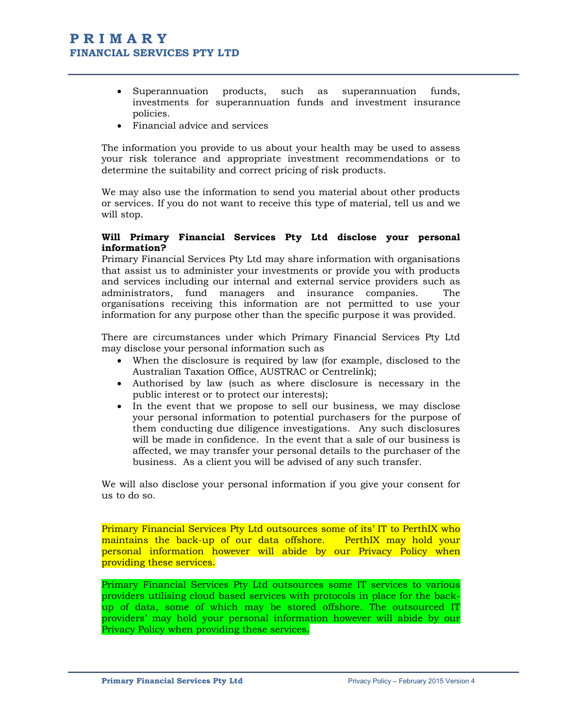- Superannuation products, such as superannuation funds, investments for superannuation funds and investment insurance policies.
- Financial advice and services

The information you provide to us about your health may be used to assess your risk tolerance and appropriate investment recommendations or to determine the suitability and correct pricing of risk products.

We may also use the information to send you material about other products or services. If you do not want to receive this type of material, tell us and we will stop.

# Will Primary Financial Services Pty Ltd disclose your personal information?

Primary Financial Services Pty Ltd may share information with organisations that assist us to administer your investments or provide you with products and services including our internal and external service providers such as administrators, fund managers and insurance companies. The organisations receiving this information are not permitted to use your information for any purpose other than the specific purpose it was provided.

There are circumstances under which Primary Financial Services Pty Ltd may disclose your personal information such as

- When the disclosure is required by law (for example, disclosed to the Australian Taxation Office, AUSTRAC or Centrelink);
- Authorised by law (such as where disclosure is necessary in the public interest or to protect our interests);
- In the event that we propose to sell our business, we may disclose your personal information to potential purchasers for the purpose of them conducting due diligence investigations. Any such disclosures will be made in confidence. In the event that a sale of our business is affected, we may transfer your personal details to the purchaser of the business. As a client you will be advised of any such transfer.

We will also disclose your personal information if you give your consent for us to do so.

Primary Financial Services Pty Ltd outsources some of its' IT to PerthIX who maintains the back-up of our data offshore. PerthIX may hold your personal information however will abide by our Privacy Policy when providing these services.

Primary Financial Services Pty Ltd outsources some IT services to various providers utilising cloud based services with protocols in place for the backup of data, some of which may be stored offshore. The outsourced IT providers' may hold your personal information however will abide by our Privacy Policy when providing these services.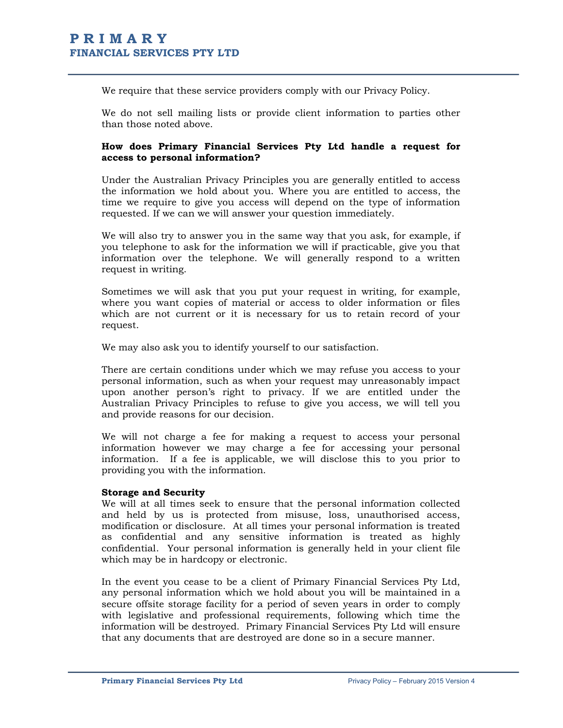We require that these service providers comply with our Privacy Policy.

We do not sell mailing lists or provide client information to parties other than those noted above.

# How does Primary Financial Services Pty Ltd handle a request for access to personal information?

Under the Australian Privacy Principles you are generally entitled to access the information we hold about you. Where you are entitled to access, the time we require to give you access will depend on the type of information requested. If we can we will answer your question immediately.

We will also try to answer you in the same way that you ask, for example, if you telephone to ask for the information we will if practicable, give you that information over the telephone. We will generally respond to a written request in writing.

Sometimes we will ask that you put your request in writing, for example, where you want copies of material or access to older information or files which are not current or it is necessary for us to retain record of your request.

We may also ask you to identify yourself to our satisfaction.

There are certain conditions under which we may refuse you access to your personal information, such as when your request may unreasonably impact upon another person's right to privacy. If we are entitled under the Australian Privacy Principles to refuse to give you access, we will tell you and provide reasons for our decision.

We will not charge a fee for making a request to access your personal information however we may charge a fee for accessing your personal information. If a fee is applicable, we will disclose this to you prior to providing you with the information.

#### Storage and Security

We will at all times seek to ensure that the personal information collected and held by us is protected from misuse, loss, unauthorised access, modification or disclosure. At all times your personal information is treated as confidential and any sensitive information is treated as highly confidential. Your personal information is generally held in your client file which may be in hardcopy or electronic.

In the event you cease to be a client of Primary Financial Services Pty Ltd, any personal information which we hold about you will be maintained in a secure offsite storage facility for a period of seven years in order to comply with legislative and professional requirements, following which time the information will be destroyed. Primary Financial Services Pty Ltd will ensure that any documents that are destroyed are done so in a secure manner.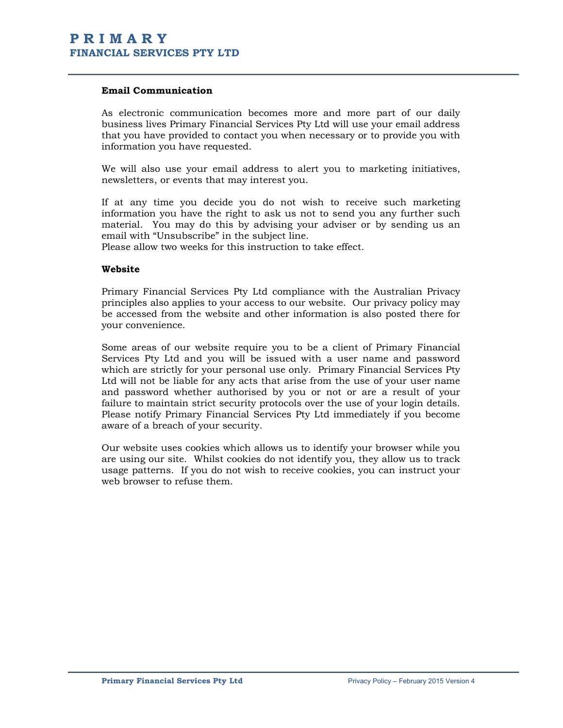# Email Communication

As electronic communication becomes more and more part of our daily business lives Primary Financial Services Pty Ltd will use your email address that you have provided to contact you when necessary or to provide you with information you have requested.

We will also use your email address to alert you to marketing initiatives, newsletters, or events that may interest you.

If at any time you decide you do not wish to receive such marketing information you have the right to ask us not to send you any further such material. You may do this by advising your adviser or by sending us an email with "Unsubscribe" in the subject line.

Please allow two weeks for this instruction to take effect.

### Website

Primary Financial Services Pty Ltd compliance with the Australian Privacy principles also applies to your access to our website. Our privacy policy may be accessed from the website and other information is also posted there for your convenience.

Some areas of our website require you to be a client of Primary Financial Services Pty Ltd and you will be issued with a user name and password which are strictly for your personal use only. Primary Financial Services Pty Ltd will not be liable for any acts that arise from the use of your user name and password whether authorised by you or not or are a result of your failure to maintain strict security protocols over the use of your login details. Please notify Primary Financial Services Pty Ltd immediately if you become aware of a breach of your security.

Our website uses cookies which allows us to identify your browser while you are using our site. Whilst cookies do not identify you, they allow us to track usage patterns. If you do not wish to receive cookies, you can instruct your web browser to refuse them.